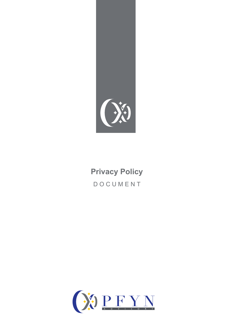

# **Privacy Policy** DOCUMENT

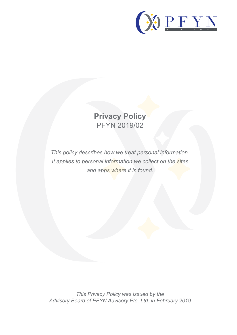

# **Privacy Policy** PFYN 2019/02

*This policy describes how we treat personal information. It applies to personal information we collect on the sites and apps where it is found.*

*This Privacy Policy was issued by the Advisory Board of PFYN Advisory Pte. Ltd. in February 2019*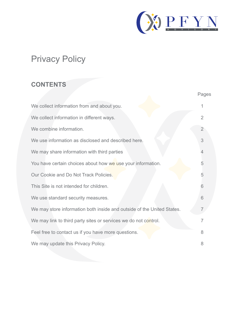

Pages

# Privacy Policy

#### **CONTENTS**

| We collect information from and about you.                             |                |
|------------------------------------------------------------------------|----------------|
| We collect information in different ways.                              | 2              |
| We combine information.                                                | $\overline{2}$ |
| We use information as disclosed and described here.                    | 3              |
| We may share information with third parties                            |                |
| You have certain choices about how we use your information.            | 5              |
| Our Cookie and Do Not Track Policies.                                  | 5              |
| This Site is not intended for children.                                | 6              |
| We use standard security measures.                                     | 6              |
| We may store information both inside and outside of the United States. |                |
| We may link to third party sites or services we do not control.        |                |
| Feel free to contact us if you have more questions.                    | 8              |
| We may update this Privacy Policy.                                     | 8              |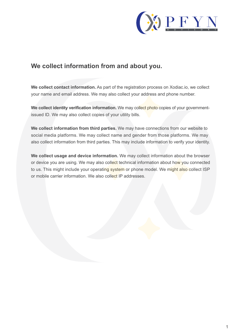

#### **We collect information from and about you.**

**We collect contact information.** As part of the registration process on Xodiac.io, we collect your name and email address. We may also collect your address and phone number.

We collect identity verification information. We may collect photo copies of your governmentissued ID. We may also collect copies of your utility bills.

**We collect information from third parties.** We may have connections from our website to social media platforms. We may collect name and gender from those platforms. We may also collect information from third parties. This may include information to verify your identity.

**We collect usage and device information.** We may collect information about the browser or device you are using. We may also collect technical information about how you connected to us. This might include your operating system or phone model. We might also collect ISP or mobile carrier information. We also collect IP addresses.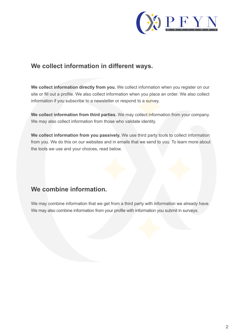

### **We collect information in different ways.**

**We collect information directly from you.** We collect information when you register on our site or fill out a profile. We also collect information when you place an order. We also collect information if you subscribe to a newsletter or respond to a survey.

**We collect information from third parties.** We may collect information from your company. We may also collect information from those who validate identity.

**We collect information from you passively.** We use third party tools to collect information from you. We do this on our websites and in emails that we send to you. To learn more about the tools we use and your choices, read below.

#### **We combine information.**

We may combine information that we get from a third party with information we already have. We may also combine information from your profile with information you submit in surveys.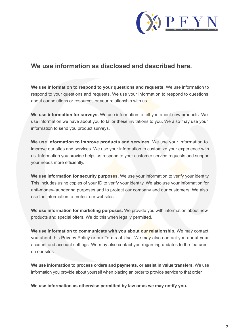

#### **We use information as disclosed and described here.**

**We use information to respond to your questions and requests.** We use information to respond to your questions and requests. We use your information to respond to questions about our solutions or resources or your relationship with us.

**We use information for surveys.** We use information to tell you about new products. We use information we have about you to tailor these invitations to you. We also may use your information to send you product surveys.

**We use information to improve products and services.** We use your information to improve our sites and services. We use your information to customize your experience with us. Information you provide helps us respond to your customer service requests and support your needs more efficiently.

**We use information for security purposes.** We use your information to verify your identity. This includes using copies of your ID to verify your identity. We also use your information for anti-money-laundering purposes and to protect our company and our customers. We also use the information to protect our websites.

**We use information for marketing purposes.** We provide you with information about new products and special offers. We do this when legally permitted.

**We use information to communicate with you about our relationship.** We may contact you about this Privacy Policy or our Terms of Use. We may also contact you about your account and account settings. We may also contact you regarding updates to the features on our sites.

**We use information to process orders and payments, or assist in value transfers.** We use information you provide about yourself when placing an order to provide service to that order.

**We use information as otherwise permitted by law or as we may notify you.**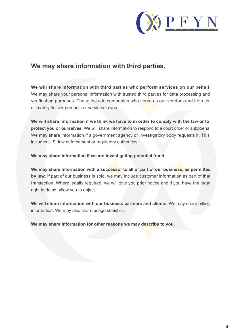

#### **We may share information with third parties.**

**We will share information with third parties who perform services on our behalf.**  We may share your personal information with trusted third parties for data processing and verification purposes. These include companies who serve as our vendors and help us ultimately deliver products or services to you.

**We will share information if we think we have to in order to comply with the law or to protect you or ourselves.** We will share information to respond to a court order or subpoena. We may share information if a government agency or investigatory body requests it. This includes U.S. law enforcement or regulatory authorities.

**We may share information if we are investigating potential fraud.**

**We may share information with a successor to all or part of our business, as permitted** by law. If part of our business is sold, we may include customer information as part of that transaction. Where legally required, we will give you prior notice and if you have the legal right to do so, allow you to object.

**We will share information with our business partners and clients.** We may share billing information. We may also share usage statistics.

**We may share information for other reasons we may describe to you.**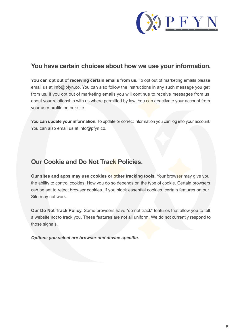

#### **You have certain choices about how we use your information.**

**You can opt out of receiving certain emails from us.** To opt out of marketing emails please email us at info@pfyn.co. You can also follow the instructions in any such message you get from us. If you opt out of marketing emails you will continue to receive messages from us about your relationship with us where permitted by law. You can deactivate your account from your user profile on our site.

**You can update your information.** To update or correct information you can log into your account. You can also email us at info@pfyn.co.

## **Our Cookie and Do Not Track Policies.**

**Our sites and apps may use cookies or other tracking tools.** Your browser may give you the ability to control cookies. How you do so depends on the type of cookie. Certain browsers can be set to reject browser cookies. If you block essential cookies, certain features on our Site may not work.

**Our Do Not Track Policy.** Some browsers have "do not track" features that allow you to tell a website not to track you. These features are not all uniform. We do not currently respond to those signals.

*Options you select are browser and device specific.*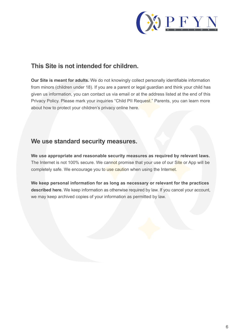

### **This Site is not intended for children.**

**Our Site is meant for adults.** We do not knowingly collect personally identifiable information from minors (children under 18). If you are a parent or legal guardian and think your child has given us information, you can contact us via email or at the address listed at the end of this Privacy Policy. Please mark your inquiries "Child PII Request." Parents, you can learn more about how to protect your children's privacy online here.

#### **We use standard security measures.**

**We use appropriate and reasonable security measures as required by relevant laws.** The Internet is not 100% secure. We cannot promise that your use of our Site or App will be completely safe. We encourage you to use caution when using the Internet.

**We keep personal information for as long as necessary or relevant for the practices described here.** We keep information as otherwise required by law. If you cancel your account, we may keep archived copies of your information as permitted by law.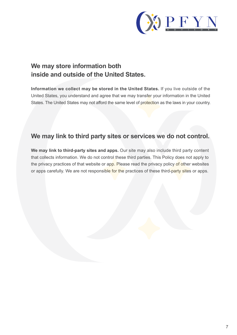

# **We may store information both inside and outside of the United States.**

**Information we collect may be stored in the United States.** If you live outside of the United States, you understand and agree that we may transfer your information in the United States. The United States may not afford the same level of protection as the laws in your country.

#### **We may link to third party sites or services we do not control.**

**We may link to third-party sites and apps.** Our site may also include third party content that collects information. We do not control these third parties. This Policy does not apply to the privacy practices of that website or app. Please read the privacy policy of other websites or apps carefully. We are not responsible for the practices of these third-party sites or apps.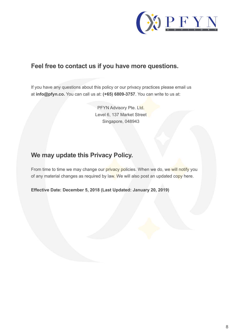

#### **Feel free to contact us if you have more questions.**

If you have any questions about this policy or our privacy practices please email us at **info@pfyn.co.** You can call us at: **(+65) 6809-3757**. You can write to us at:

> PFYN Advisory Pte. Ltd. Level 6, 137 Market Street Singapore, 048943

# **We may update this Privacy Policy.**

From time to time we may change our privacy policies. When we do, we will notify you of any material changes as required by law. We will also post an updated copy here.

**Effective Date: December 5, 2018 (Last Updated: January 20, 2019)**